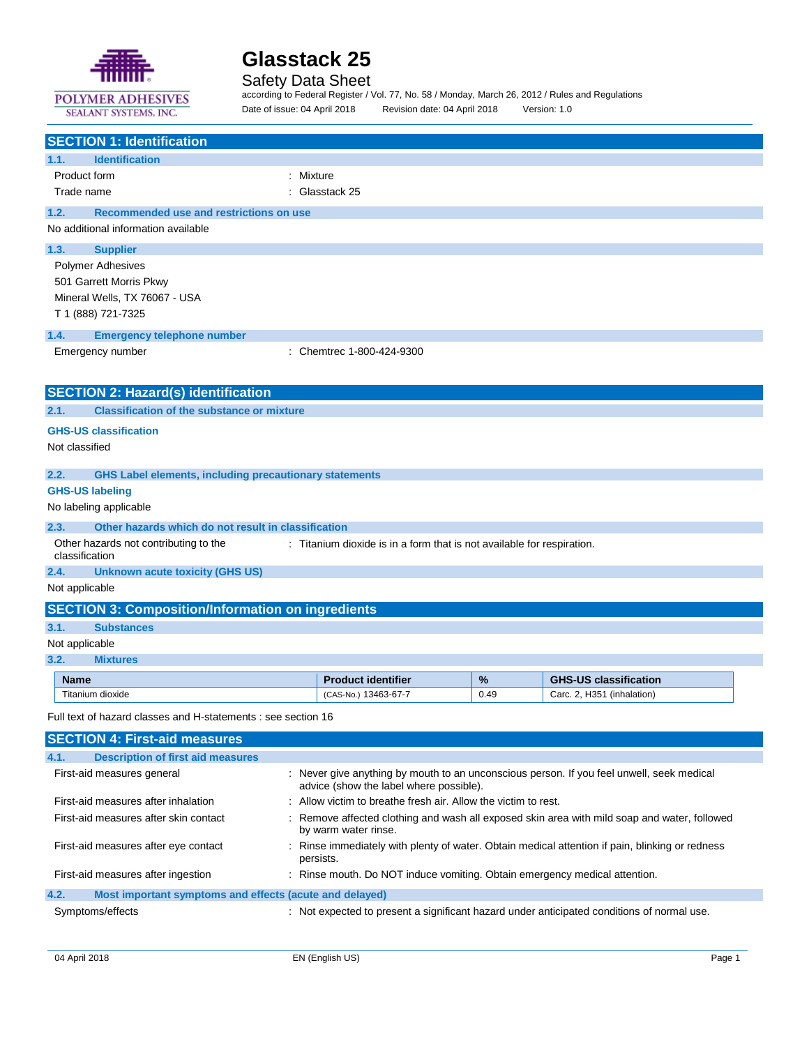

SEALANT SYSTEMS, INC.

# **Glasstack 25**

## Safety Data Sheet

according to Federal Register / Vol. 77, No. 58 / Monday, March 26, 2012 / Rules and Regulations Date of issue: 04 April 2018 Revision date: 04 April 2018 Version: 1.0

| <b>SECTION 1: Identification</b>                                      |                                                                                                                                      |      |                                                                                                 |
|-----------------------------------------------------------------------|--------------------------------------------------------------------------------------------------------------------------------------|------|-------------------------------------------------------------------------------------------------|
| 1.1.<br><b>Identification</b>                                         |                                                                                                                                      |      |                                                                                                 |
| Product form                                                          | : Mixture                                                                                                                            |      |                                                                                                 |
| Trade name                                                            | : Glasstack 25                                                                                                                       |      |                                                                                                 |
| 1.2.<br>Recommended use and restrictions on use                       |                                                                                                                                      |      |                                                                                                 |
| No additional information available                                   |                                                                                                                                      |      |                                                                                                 |
| 1.3.<br><b>Supplier</b>                                               |                                                                                                                                      |      |                                                                                                 |
| <b>Polymer Adhesives</b>                                              |                                                                                                                                      |      |                                                                                                 |
| 501 Garrett Morris Pkwy                                               |                                                                                                                                      |      |                                                                                                 |
| Mineral Wells, TX 76067 - USA                                         |                                                                                                                                      |      |                                                                                                 |
| T 1 (888) 721-7325                                                    |                                                                                                                                      |      |                                                                                                 |
| 1.4.<br><b>Emergency telephone number</b>                             |                                                                                                                                      |      |                                                                                                 |
| Emergency number                                                      | : Chemtrec 1-800-424-9300                                                                                                            |      |                                                                                                 |
|                                                                       |                                                                                                                                      |      |                                                                                                 |
|                                                                       |                                                                                                                                      |      |                                                                                                 |
| <b>SECTION 2: Hazard(s) identification</b>                            |                                                                                                                                      |      |                                                                                                 |
| <b>Classification of the substance or mixture</b><br>2.1.             |                                                                                                                                      |      |                                                                                                 |
| <b>GHS-US classification</b>                                          |                                                                                                                                      |      |                                                                                                 |
| Not classified                                                        |                                                                                                                                      |      |                                                                                                 |
| 2.2.<br><b>GHS Label elements, including precautionary statements</b> |                                                                                                                                      |      |                                                                                                 |
| <b>GHS-US labeling</b>                                                |                                                                                                                                      |      |                                                                                                 |
| No labeling applicable                                                |                                                                                                                                      |      |                                                                                                 |
| Other hazards which do not result in classification<br>2.3.           |                                                                                                                                      |      |                                                                                                 |
| Other hazards not contributing to the                                 | : Titanium dioxide is in a form that is not available for respiration.                                                               |      |                                                                                                 |
| classification                                                        |                                                                                                                                      |      |                                                                                                 |
| 2.4.<br><b>Unknown acute toxicity (GHS US)</b>                        |                                                                                                                                      |      |                                                                                                 |
| Not applicable                                                        |                                                                                                                                      |      |                                                                                                 |
| <b>SECTION 3: Composition/Information on ingredients</b>              |                                                                                                                                      |      |                                                                                                 |
| 3.1.<br><b>Substances</b>                                             |                                                                                                                                      |      |                                                                                                 |
| Not applicable                                                        |                                                                                                                                      |      |                                                                                                 |
| 3.2.<br><b>Mixtures</b>                                               |                                                                                                                                      |      |                                                                                                 |
| <b>Name</b>                                                           | <b>Product identifier</b>                                                                                                            | %    | <b>GHS-US classification</b>                                                                    |
| Titanium dioxide                                                      | (CAS-No.) 13463-67-7                                                                                                                 | 0.49 | Carc. 2, H351 (inhalation)                                                                      |
| Full text of hazard classes and H-statements : see section 16         |                                                                                                                                      |      |                                                                                                 |
| <b>SECTION 4: First-aid measures</b>                                  |                                                                                                                                      |      |                                                                                                 |
| 4.1.<br><b>Description of first aid measures</b>                      |                                                                                                                                      |      |                                                                                                 |
| First-aid measures general                                            | : Never give anything by mouth to an unconscious person. If you feel unwell, seek medical<br>advice (show the label where possible). |      |                                                                                                 |
| First-aid measures after inhalation                                   | : Allow victim to breathe fresh air. Allow the victim to rest.                                                                       |      |                                                                                                 |
| First-aid measures after skin contact                                 | by warm water rinse.                                                                                                                 |      | : Remove affected clothing and wash all exposed skin area with mild soap and water, followed    |
| First-aid measures after eye contact                                  | persists.                                                                                                                            |      | : Rinse immediately with plenty of water. Obtain medical attention if pain, blinking or redness |
| First-aid measures after ingestion                                    | : Rinse mouth. Do NOT induce vomiting. Obtain emergency medical attention.                                                           |      |                                                                                                 |
| 4.2.<br>Most important symptoms and effects (acute and delayed)       |                                                                                                                                      |      |                                                                                                 |
| Symptoms/effects                                                      | : Not expected to present a significant hazard under anticipated conditions of normal use.                                           |      |                                                                                                 |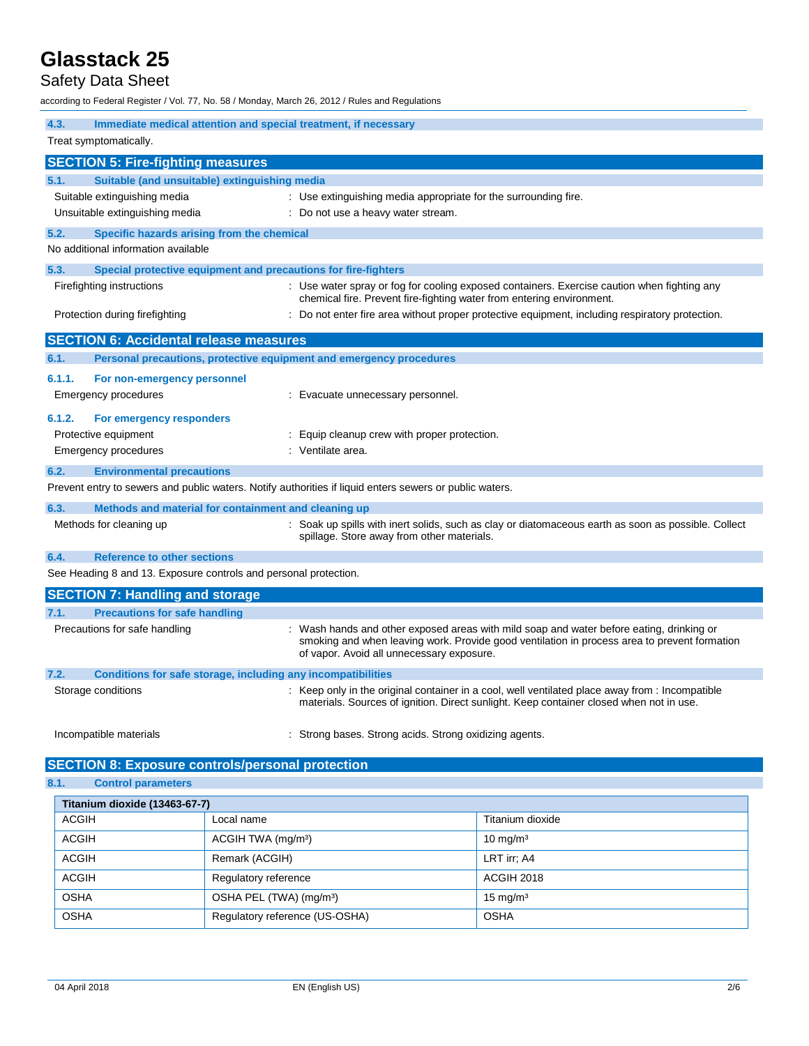# Safety Data Sheet

according to Federal Register / Vol. 77, No. 58 / Monday, March 26, 2012 / Rules and Regulations

**4.3. Immediate medical attention and special treatment, if necessary** Treat symptomatically. **SECTION 5: Fire-fighting measures 5.1. Suitable (and unsuitable) extinguishing media** Suitable extinguishing media  $\qquad \qquad$ : Use extinguishing media appropriate for the surrounding fire. Unsuitable extinguishing media : Do not use a heavy water stream. **5.2. Specific hazards arising from the chemical** No additional information available **5.3. Special protective equipment and precautions for fire-fighters** Firefighting instructions : Use water spray or fog for cooling exposed containers. Exercise caution when fighting any chemical fire. Prevent fire-fighting water from entering environment. Protection during firefighting **intertion** : Do not enter fire area without proper protective equipment, including respiratory protection. **SECTION 6: Accidental release measures 6.1. Personal precautions, protective equipment and emergency procedures 6.1.1. For non-emergency personnel** Emergency procedures : Evacuate unnecessary personnel. **6.1.2. For emergency responders** Protective equipment **interval and the Community** Equip cleanup crew with proper protection. Emergency procedures in the set of the Senate Senate area. **6.2. Environmental precautions** Prevent entry to sewers and public waters. Notify authorities if liquid enters sewers or public waters. **6.3. Methods and material for containment and cleaning up** Methods for cleaning up **interpret in the spills** with inert solids, such as clay or diatomaceous earth as soon as possible. Collect spillage. Store away from other materials. **6.4. Reference to other sections** See Heading 8 and 13. Exposure controls and personal protection. **SECTION 7: Handling and storage 7.1. Precautions for safe handling** Precautions for safe handling : Wash hands and other exposed areas with mild soap and water before eating, drinking or smoking and when leaving work. Provide good ventilation in process area to prevent formation of vapor. Avoid all unnecessary exposure. **7.2. Conditions for safe storage, including any incompatibilities** Storage conditions **in the only in the original container in a cool, well ventilated place away from : Incompatible** materials. Sources of ignition. Direct sunlight. Keep container closed when not in use.

Incompatible materials : Strong bases. Strong acids. Strong oxidizing agents.

## **SECTION 8: Exposure controls/personal protection**

```
8.1. Control parameters
```

| Titanium dioxide (13463-67-7) |                                     |                     |  |
|-------------------------------|-------------------------------------|---------------------|--|
| <b>ACGIH</b>                  | Local name                          | Titanium dioxide    |  |
| <b>ACGIH</b>                  | ACGIH TWA (mg/m <sup>3</sup> )      | $10 \text{ mg/m}^3$ |  |
| <b>ACGIH</b>                  | Remark (ACGIH)                      | LRT irr; A4         |  |
| <b>ACGIH</b>                  | Regulatory reference                | ACGIH 2018          |  |
| <b>OSHA</b>                   | OSHA PEL (TWA) (mg/m <sup>3</sup> ) | $15 \text{ mg/m}^3$ |  |
| <b>OSHA</b>                   | Regulatory reference (US-OSHA)      | <b>OSHA</b>         |  |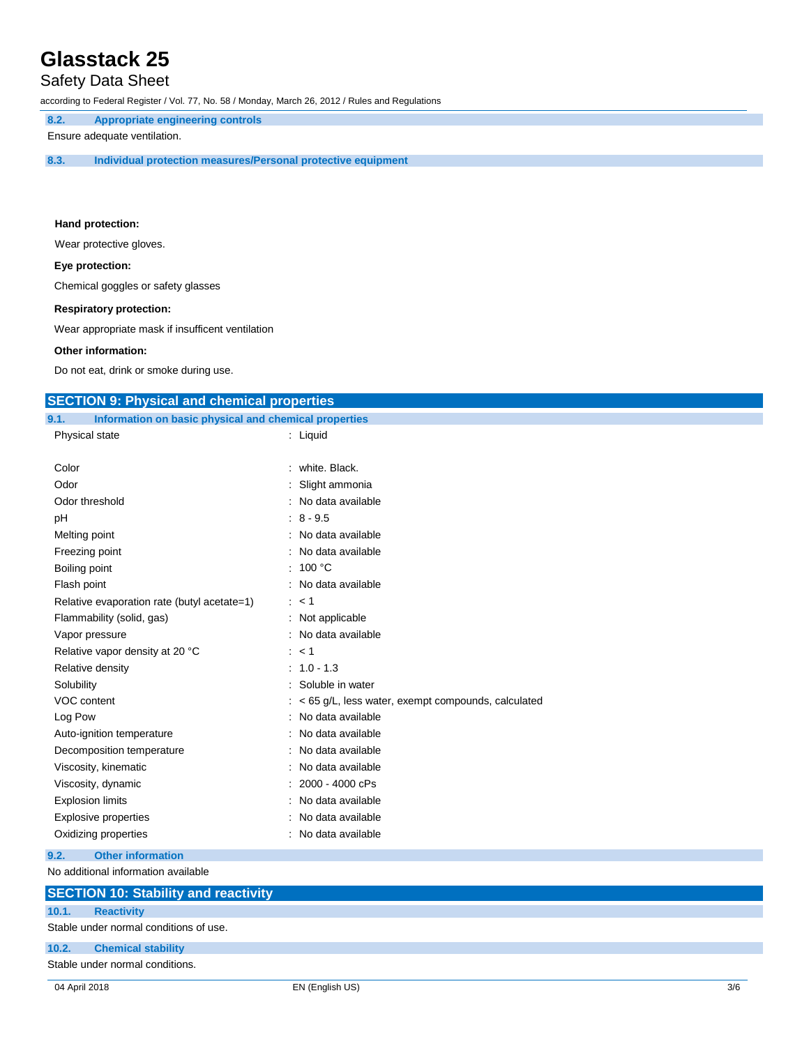# Safety Data Sheet

according to Federal Register / Vol. 77, No. 58 / Monday, March 26, 2012 / Rules and Regulations

**8.2. Appropriate engineering controls**

Ensure adequate ventilation.

**8.3. Individual protection measures/Personal protective equipment**

#### **Hand protection:**

Wear protective gloves.

### **Eye protection:**

Chemical goggles or safety glasses

#### **Respiratory protection:**

Wear appropriate mask if insufficent ventilation

### **Other information:**

Do not eat, drink or smoke during use.

## **SECTION 9: Physical and chemical properties**

| 9.1. | Information on basic physical and chemical properties |  |  |  |
|------|-------------------------------------------------------|--|--|--|

| Physical state                              | : Liquid                                               |
|---------------------------------------------|--------------------------------------------------------|
|                                             |                                                        |
| Color                                       | : white. Black.                                        |
| Odor                                        | Slight ammonia                                         |
| Odor threshold                              | No data available                                      |
| рH                                          | $: 8 - 9.5$                                            |
| Melting point                               | No data available                                      |
| Freezing point                              | No data available                                      |
| Boiling point                               | : 100 $^{\circ}$ C                                     |
| Flash point                                 | No data available                                      |
| Relative evaporation rate (butyl acetate=1) | : < 1                                                  |
| Flammability (solid, gas)                   | : Not applicable                                       |
| Vapor pressure                              | No data available                                      |
| Relative vapor density at 20 °C             | $:$ < 1                                                |
| Relative density                            | $: 1.0 - 1.3$                                          |
| Solubility                                  | Soluble in water                                       |
| VOC content                                 | $:$ < 65 g/L, less water, exempt compounds, calculated |
| Log Pow                                     | No data available                                      |
| Auto-ignition temperature                   | No data available                                      |
| Decomposition temperature                   | No data available                                      |
| Viscosity, kinematic                        | No data available                                      |
| Viscosity, dynamic                          | 2000 - 4000 cPs                                        |
| <b>Explosion limits</b>                     | No data available                                      |
| <b>Explosive properties</b>                 | No data available                                      |
| Oxidizing properties                        | No data available                                      |
|                                             |                                                        |

## **9.2. Other information**

No additional information available

# **SECTION 10: Stability and reactivity 10.1. Reactivity** Stable under normal conditions of use. **10.2. Chemical stability** Stable under normal conditions.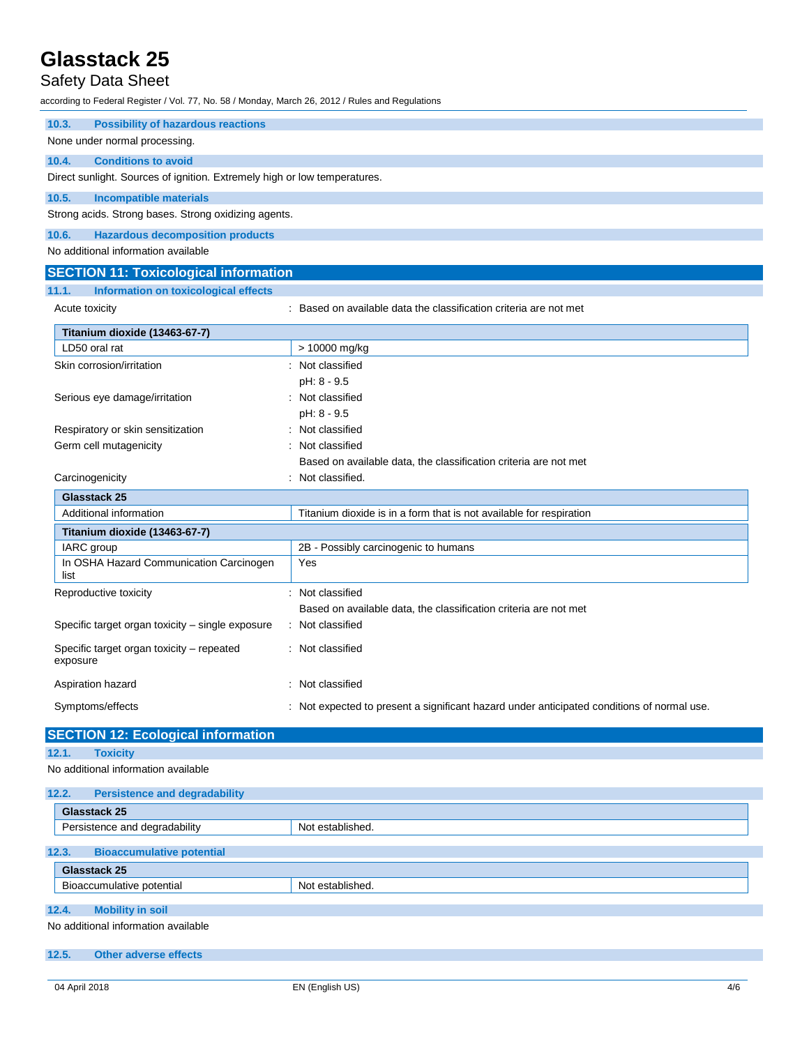# Safety Data Sheet

according to Federal Register / Vol. 77, No. 58 / Monday, March 26, 2012 / Rules and Regulations

| <b>Possibility of hazardous reactions</b><br>10.3.                        |                                                                                            |
|---------------------------------------------------------------------------|--------------------------------------------------------------------------------------------|
| None under normal processing.                                             |                                                                                            |
| <b>Conditions to avoid</b><br>10.4.                                       |                                                                                            |
| Direct sunlight. Sources of ignition. Extremely high or low temperatures. |                                                                                            |
| 10.5.<br><b>Incompatible materials</b>                                    |                                                                                            |
| Strong acids. Strong bases. Strong oxidizing agents.                      |                                                                                            |
| 10.6.<br><b>Hazardous decomposition products</b>                          |                                                                                            |
| No additional information available                                       |                                                                                            |
| <b>SECTION 11: Toxicological information</b>                              |                                                                                            |
| 11.1.<br><b>Information on toxicological effects</b>                      |                                                                                            |
| Acute toxicity                                                            | : Based on available data the classification criteria are not met                          |
|                                                                           |                                                                                            |
| Titanium dioxide (13463-67-7)<br>LD50 oral rat                            | > 10000 mg/kg                                                                              |
| Skin corrosion/irritation                                                 | Not classified                                                                             |
|                                                                           | pH: 8 - 9.5                                                                                |
| Serious eye damage/irritation                                             | Not classified                                                                             |
|                                                                           | pH: 8 - 9.5                                                                                |
| Respiratory or skin sensitization                                         | Not classified                                                                             |
| Germ cell mutagenicity                                                    | Not classified                                                                             |
|                                                                           | Based on available data, the classification criteria are not met                           |
| Carcinogenicity                                                           | Not classified.                                                                            |
| Glasstack 25                                                              |                                                                                            |
| Additional information                                                    | Titanium dioxide is in a form that is not available for respiration                        |
| Titanium dioxide (13463-67-7)                                             |                                                                                            |
| IARC group                                                                | 2B - Possibly carcinogenic to humans                                                       |
| In OSHA Hazard Communication Carcinogen<br>list                           | Yes                                                                                        |
| Reproductive toxicity                                                     | : Not classified                                                                           |
|                                                                           | Based on available data, the classification criteria are not met                           |
| Specific target organ toxicity - single exposure                          | Not classified                                                                             |
| Specific target organ toxicity - repeated<br>exposure                     | : Not classified                                                                           |
| Aspiration hazard                                                         | Not classified                                                                             |
| Symptoms/effects                                                          | : Not expected to present a significant hazard under anticipated conditions of normal use. |
|                                                                           |                                                                                            |

# **SECTION 12: Ecological information**

```
12.1. Toxicity
```
No additional information available

| 12.2.<br><b>Persistence and degradability</b>                           |                  |
|-------------------------------------------------------------------------|------------------|
| Glasstack 25                                                            |                  |
| Persistence and degradability                                           | Not established. |
| 12.3.<br><b>Bioaccumulative potential</b>                               |                  |
| Glasstack 25                                                            |                  |
| Bioaccumulative potential                                               | Not established. |
| 12.4.<br><b>Mobility in soil</b><br>No additional information available |                  |

# **12.5. Other adverse effects**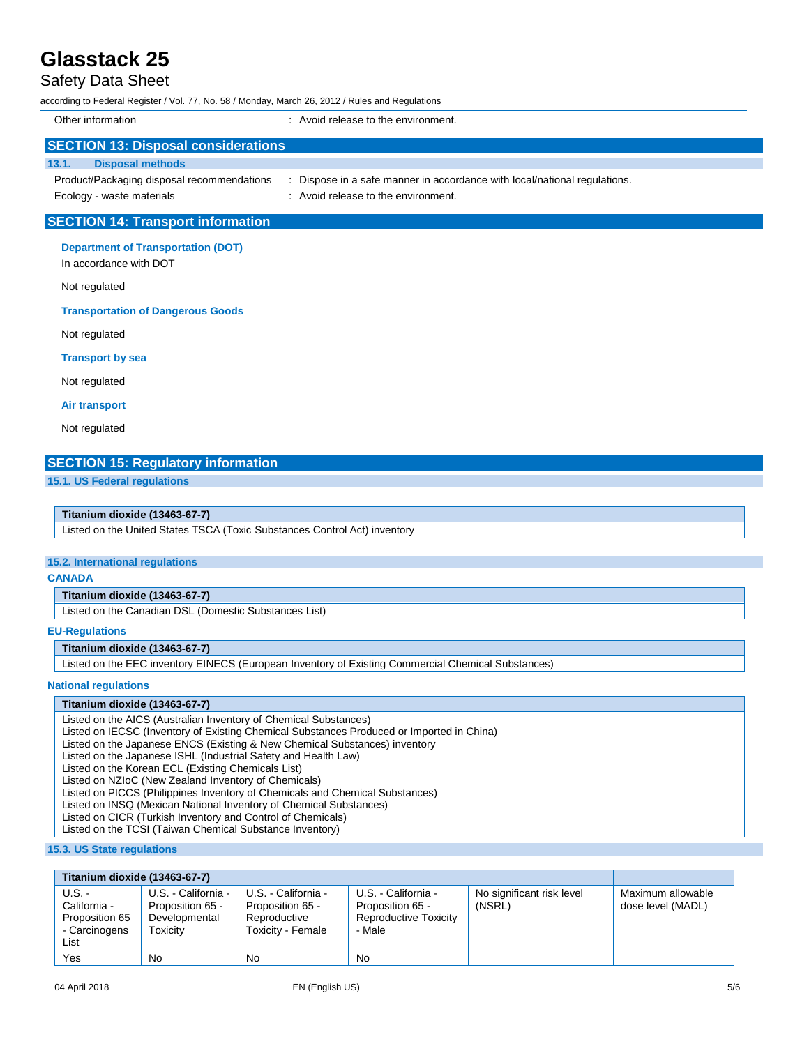# Safety Data Sheet

according to Federal Register / Vol. 77, No. 58 / Monday, March 26, 2012 / Rules and Regulations

| Other information                          | : Avoid release to the environment.                                     |
|--------------------------------------------|-------------------------------------------------------------------------|
| <b>SECTION 13: Disposal considerations</b> |                                                                         |
| 13.1.<br><b>Disposal methods</b>           |                                                                         |
| Product/Packaging disposal recommendations | Dispose in a safe manner in accordance with local/national regulations. |
| Ecology - waste materials                  | : Avoid release to the environment.                                     |
| <b>SECTION 14: Transport information</b>   |                                                                         |
|                                            |                                                                         |

**Department of Transportation (DOT)**

In accordance with DOT

Not regulated

#### **Transportation of Dangerous Goods**

Not regulated

**Transport by sea**

Not regulated

**Air transport**

Not regulated

## **SECTION 15: Regulatory information**

**15.1. US Federal regulations**

#### **Titanium dioxide (13463-67-7)**

Listed on the United States TSCA (Toxic Substances Control Act) inventory

### **15.2. International regulations**

#### **CANADA**

### **Titanium dioxide (13463-67-7)**

Listed on the Canadian DSL (Domestic Substances List)

#### **EU-Regulations**

**Titanium dioxide (13463-67-7)**

Listed on the EEC inventory EINECS (European Inventory of Existing Commercial Chemical Substances)

#### **National regulations**

#### **Titanium dioxide (13463-67-7)**

Listed on the AICS (Australian Inventory of Chemical Substances)

Listed on IECSC (Inventory of Existing Chemical Substances Produced or Imported in China)

Listed on the Japanese ENCS (Existing & New Chemical Substances) inventory

Listed on the Japanese ISHL (Industrial Safety and Health Law)

Listed on the Korean ECL (Existing Chemicals List)

Listed on NZIoC (New Zealand Inventory of Chemicals)

Listed on PICCS (Philippines Inventory of Chemicals and Chemical Substances)

Listed on INSQ (Mexican National Inventory of Chemical Substances)

Listed on CICR (Turkish Inventory and Control of Chemicals)

Listed on the TCSI (Taiwan Chemical Substance Inventory)

**15.3. US State regulations**

| Titanium dioxide (13463-67-7)                                     |                                                                      |                                                                              |                                                                            |                                     |                                        |
|-------------------------------------------------------------------|----------------------------------------------------------------------|------------------------------------------------------------------------------|----------------------------------------------------------------------------|-------------------------------------|----------------------------------------|
| U.S. -<br>California -<br>Proposition 65<br>- Carcinogens<br>List | U.S. - California -<br>Proposition 65 -<br>Developmental<br>Гохісіtv | U.S. - California -<br>Proposition 65 -<br>Reproductive<br>Toxicity - Female | U.S. - California -<br>Proposition 65 -<br>Reproductive Toxicity<br>- Male | No significant risk level<br>(NSRL) | Maximum allowable<br>dose level (MADL) |
| Yes                                                               | <b>No</b>                                                            | No.                                                                          | No.                                                                        |                                     |                                        |